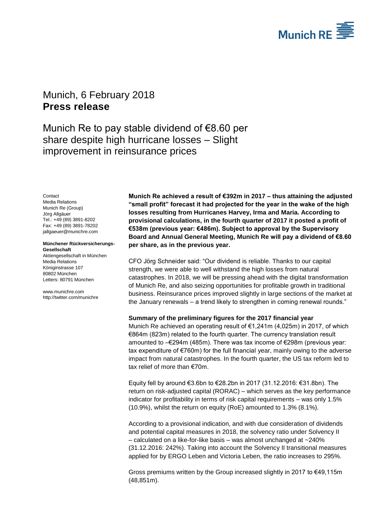

# <span id="page-0-1"></span><span id="page-0-0"></span>Munich, 6 February 2018 **Press release**

Munich Re to pay stable dividend of €8.60 per share despite high hurricane losses – Slight improvement in reinsurance prices

<span id="page-0-2"></span>**Contact** Media Relations Munich Re (Group) Jörg Allgäuer Tel.: +49 (89) 3891-8202 Fax: +49 (89) 3891-78202 jallgaeuer@munichre.com

#### **Münchener Rückversicherungs-Gesellschaft**

Aktiengesellschaft in München Media Relations Königinstrasse 107 80802 München Letters: 80791 München

www.munichre.com http://twitter.com/munichre

**Munich Re achieved a result of €392m in 2017 – thus attaining the adjusted "small profit" forecast it had projected for the year in the wake of the high losses resulting from Hurricanes Harvey, Irma and Maria. According to provisional calculations, in the fourth quarter of 2017 it posted a profit of €538m (previous year: €486m). Subject to approval by the Supervisory Board and Annual General Meeting, Munich Re will pay a dividend of €8.60 per share, as in the previous year.**

CFO Jörg Schneider said: "Our dividend is reliable. Thanks to our capital strength, we were able to well withstand the high losses from natural catastrophes. In 2018, we will be pressing ahead with the digital transformation of Munich Re, and also seizing opportunities for profitable growth in traditional business. Reinsurance prices improved slightly in large sections of the market at the January renewals – a trend likely to strengthen in coming renewal rounds."

### **Summary of the preliminary figures for the 2017 financial year**

Munich Re achieved an operating result of €1,241m (4,025m) in 2017, of which €864m (823m) related to the fourth quarter. The currency translation result amounted to –€294m (485m). There was tax income of €298m (previous year: tax expenditure of  $\epsilon$ 760m) for the full financial year, mainly owing to the adverse impact from natural catastrophes. In the fourth quarter, the US tax reform led to tax relief of more than €70m.

Equity fell by around €3.6bn to €28.2bn in 2017 (31.12.2016: €31.8bn). The return on risk-adjusted capital (RORAC) – which serves as the key performance indicator for profitability in terms of risk capital requirements – was only 1.5% (10.9%), whilst the return on equity (RoE) amounted to 1.3% (8.1%).

According to a provisional indication, and with due consideration of dividends and potential capital measures in 2018, the solvency ratio under Solvency II – calculated on a like-for-like basis – was almost unchanged at  $\sim$ 240% (31.12.2016: 242%). Taking into account the Solvency II transitional measures applied for by ERGO Leben and Victoria Leben, the ratio increases to 295%.

Gross premiums written by the Group increased slightly in 2017 to €49,115m (48,851m).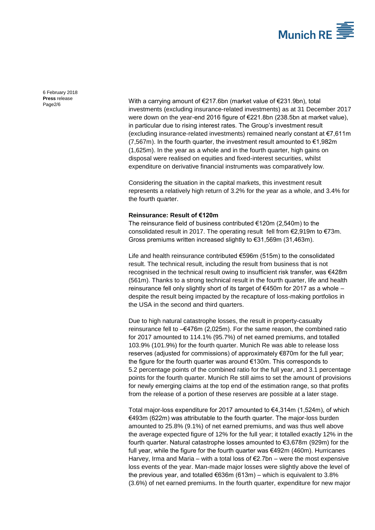

[6 February 2018](#page-0-0) **Press** [release](#page-0-1)

Press release<br>Page2/6 Mith a carrying amount of  $\epsilon$ 217.6bn (market value of  $\epsilon$ 231.9bn), total investments (excluding insurance-related investments) as at 31 December 2017 were down on the year-end 2016 figure of €221.8bn (238.5bn at market value), in particular due to rising interest rates. The Group's investment result (excluding insurance-related investments) remained nearly constant at €7,611m (7,567m). In the fourth quarter, the investment result amounted to  $€1,982m$ (1,625m). In the year as a whole and in the fourth quarter, high gains on disposal were realised on equities and fixed-interest securities, whilst expenditure on derivative financial instruments was comparatively low.

> Considering the situation in the capital markets, this investment result represents a relatively high return of 3.2% for the year as a whole, and 3.4% for the fourth quarter.

#### **Reinsurance: Result of €120m**

The reinsurance field of business contributed €120m (2,540m) to the consolidated result in 2017. The operating result fell from €2,919m to €73m. Gross premiums written increased slightly to €31,569m (31,463m).

Life and health reinsurance contributed €596m (515m) to the consolidated result. The technical result, including the result from business that is not recognised in the technical result owing to insufficient risk transfer, was €428m (561m). Thanks to a strong technical result in the fourth quarter, life and health reinsurance fell only slightly short of its target of €450m for 2017 as a whole – despite the result being impacted by the recapture of loss-making portfolios in the USA in the second and third quarters.

Due to high natural catastrophe losses, the result in property-casualty reinsurance fell to –€476m (2,025m). For the same reason, the combined ratio for 2017 amounted to 114.1% (95.7%) of net earned premiums, and totalled 103.9% (101.9%) for the fourth quarter. Munich Re was able to release loss reserves (adjusted for commissions) of approximately €870m for the full year; the figure for the fourth quarter was around €130m. This corresponds to 5.2 percentage points of the combined ratio for the full year, and 3.1 percentage points for the fourth quarter. Munich Re still aims to set the amount of provisions for newly emerging claims at the top end of the estimation range, so that profits from the release of a portion of these reserves are possible at a later stage.

Total major-loss expenditure for 2017 amounted to €4,314m (1,524m), of which €493m (622m) was attributable to the fourth quarter. The major-loss burden amounted to 25.8% (9.1%) of net earned premiums, and was thus well above the average expected figure of 12% for the full year; it totalled exactly 12% in the fourth quarter. Natural catastrophe losses amounted to €3,678m (929m) for the full year, while the figure for the fourth quarter was €492m (460m). Hurricanes Harvey, Irma and Maria – with a total loss of  $E$ 2.7bn – were the most expensive loss events of the year. Man-made major losses were slightly above the level of the previous year, and totalled  $€636m (613m) -$  which is equivalent to 3.8% (3.6%) of net earned premiums. In the fourth quarter, expenditure for new major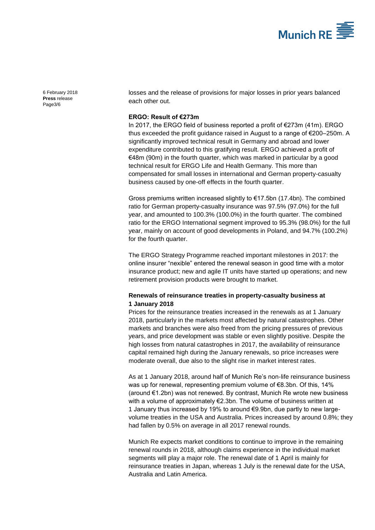

[6 February 2018](#page-0-0) **Press** [release](#page-0-1) Page3/6

losses and the release of provisions for major losses in prior years balanced each other out.

### **ERGO: Result of €273m**

In 2017, the ERGO field of business reported a profit of €273m (41m). ERGO thus exceeded the profit guidance raised in August to a range of €200–250m. A significantly improved technical result in Germany and abroad and lower expenditure contributed to this gratifying result. ERGO achieved a profit of €48m (90m) in the fourth quarter, which was marked in particular by a good technical result for ERGO Life and Health Germany. This more than compensated for small losses in international and German property-casualty business caused by one-off effects in the fourth quarter.

Gross premiums written increased slightly to €17.5bn (17.4bn). The combined ratio for German property-casualty insurance was 97.5% (97.0%) for the full year, and amounted to 100.3% (100.0%) in the fourth quarter. The combined ratio for the ERGO International segment improved to 95.3% (98.0%) for the full year, mainly on account of good developments in Poland, and 94.7% (100.2%) for the fourth quarter.

The ERGO Strategy Programme reached important milestones in 2017: the online insurer "nexible" entered the renewal season in good time with a motor insurance product; new and agile IT units have started up operations; and new retirement provision products were brought to market.

### **Renewals of reinsurance treaties in property-casualty business at 1 January 2018**

Prices for the reinsurance treaties increased in the renewals as at 1 January 2018, particularly in the markets most affected by natural catastrophes. Other markets and branches were also freed from the pricing pressures of previous years, and price development was stable or even slightly positive. Despite the high losses from natural catastrophes in 2017, the availability of reinsurance capital remained high during the January renewals, so price increases were moderate overall, due also to the slight rise in market interest rates.

As at 1 January 2018, around half of Munich Re's non-life reinsurance business was up for renewal, representing premium volume of €8.3bn. Of this, 14% (around €1.2bn) was not renewed. By contrast, Munich Re wrote new business with a volume of approximately €2.3bn. The volume of business written at 1 January thus increased by 19% to around €9.9bn, due partly to new largevolume treaties in the USA and Australia. Prices increased by around 0.8%; they had fallen by 0.5% on average in all 2017 renewal rounds.

Munich Re expects market conditions to continue to improve in the remaining renewal rounds in 2018, although claims experience in the individual market segments will play a major role. The renewal date of 1 April is mainly for reinsurance treaties in Japan, whereas 1 July is the renewal date for the USA, Australia and Latin America.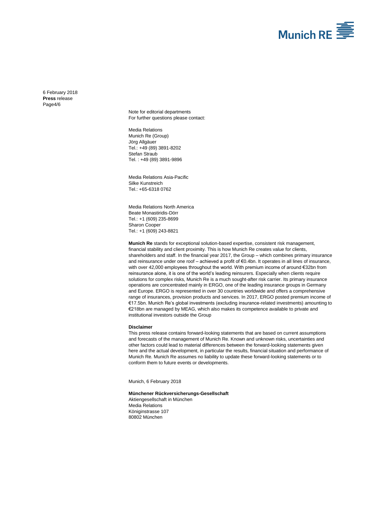

[6 February 2018](#page-0-0) **Press** [release](#page-0-1) Page4/6

> Note for editorial departments For further questions please contact:

Media Relations Munich Re (Group) Jörg Allgäuer Tel.: +49 (89) 389[1-8202](#page-0-2) Stefan Straub Tel. : +49 (89) 3891-9896

Media Relations Asia-Pacific Silke Kunstreich Tel.: +65-6318 0762

Media Relations North America Beate Monastiridis-Dörr Tel.: +1 (609) 235-8699 Sharon Cooper Tel.: +1 (609) 243-8821

**Munich Re** stands for exceptional solution-based expertise, consistent risk management, financial stability and client proximity. This is how Munich Re creates value for clients, shareholders and staff. In the financial year 2017, the Group – which combines primary insurance and reinsurance under one roof – achieved a profit of €0.4bn. It operates in all lines of insurance, with over 42,000 employees throughout the world. With premium income of around €32bn from reinsurance alone, it is one of the world's leading reinsurers. Especially when clients require solutions for complex risks, Munich Re is a much sought-after risk carrier. Its primary insurance operations are concentrated mainly in ERGO, one of the leading insurance groups in Germany and Europe. ERGO is represented in over 30 countries worldwide and offers a comprehensive range of insurances, provision products and services. In 2017, ERGO posted premium income of €17.5bn. Munich Re's global investments (excluding insurance-related investments) amounting to €218bn are managed by MEAG, which also makes its competence available to private and institutional investors outside the Group

#### **Disclaimer**

This press release contains forward-looking statements that are based on current assumptions and forecasts of the management of Munich Re. Known and unknown risks, uncertainties and other factors could lead to material differences between the forward-looking statements given here and the actual development, in particular the results, financial situation and performance of Munich Re. Munich Re assumes no liability to update these forward-looking statements or to conform them to future events or developments.

Munich[, 6 February 2018](#page-0-0)

**Münchener Rückversicherungs-Gesellschaft** Aktiengesellschaft in München Media Relations Königinstrasse 107 80802 München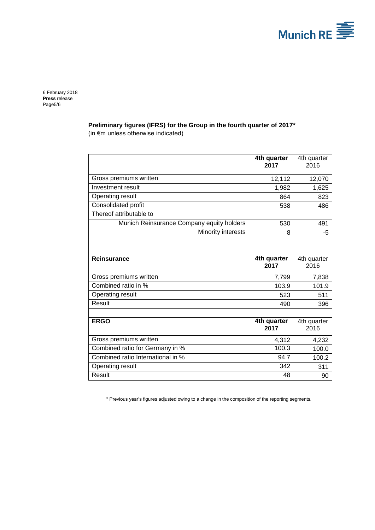

[6 February 2018](#page-0-0) **Press** [release](#page-0-1) Page5/6

**Preliminary figures (IFRS) for the Group in the fourth quarter of 2017\***

(in €m unless otherwise indicated)

|                                           | 4th quarter<br>2017 | 4th quarter<br>2016 |
|-------------------------------------------|---------------------|---------------------|
| Gross premiums written                    | 12,112              | 12,070              |
| Investment result                         | 1,982               | 1,625               |
| Operating result                          | 864                 | 823                 |
| Consolidated profit                       | 538                 | 486                 |
| Thereof attributable to                   |                     |                     |
| Munich Reinsurance Company equity holders | 530                 | 491                 |
| Minority interests                        | 8                   | -5                  |
|                                           |                     |                     |
|                                           |                     |                     |
| Reinsurance                               | 4th quarter<br>2017 | 4th quarter<br>2016 |
| Gross premiums written                    | 7,799               | 7,838               |
| Combined ratio in %                       | 103.9               | 101.9               |
| Operating result                          | 523                 | 511                 |
| Result                                    | 490                 | 396                 |
|                                           |                     |                     |
| <b>ERGO</b>                               | 4th quarter<br>2017 | 4th quarter<br>2016 |
| Gross premiums written                    | 4,312               | 4,232               |
| Combined ratio for Germany in %           | 100.3               | 100.0               |
| Combined ratio International in %         | 94.7                | 100.2               |
| Operating result                          | 342                 | 311                 |
| Result                                    | 48                  | 90                  |

\* Previous year's figures adjusted owing to a change in the composition of the reporting segments.